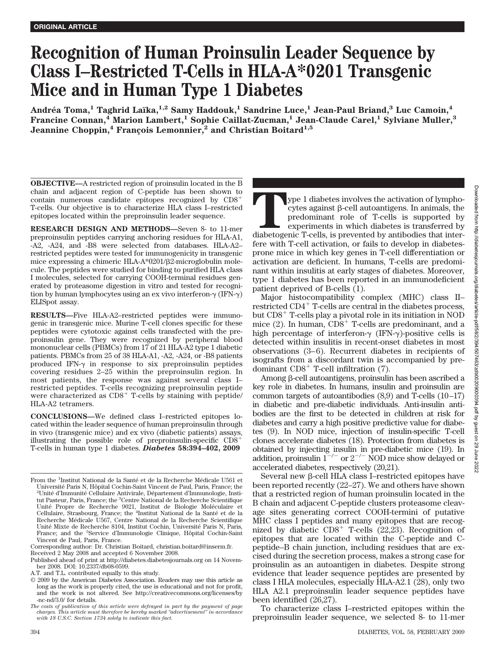# **Recognition of Human Proinsulin Leader Sequence by Class I–Restricted T-Cells in HLA-A\*0201 Transgenic Mice and in Human Type 1 Diabetes**

**Andre´a Toma,1 Taghrid Laïka,1,2 Samy Haddouk,1 Sandrine Luce,1 Jean-Paul Briand,3 Luc Camoin,4 Francine Connan,4 Marion Lambert,1 Sophie Caillat-Zucman,1 Jean-Claude Carel,1 Sylviane Muller,3 Jeannine Choppin,<sup>4</sup> Francois Lemonnier,<sup>2</sup> and Christian Boitard<sup>1,5</sup>** 

**OBJECTIVE—**A restricted region of proinsulin located in the B chain and adjacent region of C-peptide has been shown to contain numerous candidate epitopes recognized by CD8 T-cells. Our objective is to characterize HLA class I–restricted epitopes located within the preproinsulin leader sequence.

**RESEARCH DESIGN AND METHODS—**Seven 8- to 11-mer preproinsulin peptides carrying anchoring residues for HLA-A1, -A2, -A24, and -B8 were selected from databases. HLA-A2– restricted peptides were tested for immunogenicity in transgenic mice expressing a chimeric HLA-A\*0201/β2-microglobulin molecule. The peptides were studied for binding to purified HLA class I molecules, selected for carrying COOH-terminal residues generated by proteasome digestion in vitro and tested for recognition by human lymphocytes using an ex vivo interferon- $\gamma$  (IFN- $\gamma$ ) ELISpot assay.

**RESULTS—**Five HLA-A2–restricted peptides were immunogenic in transgenic mice. Murine T-cell clones specific for these peptides were cytotoxic against cells transfected with the preproinsulin gene. They were recognized by peripheral blood mononuclear cells (PBMCs) from 17 of 21 HLA-A2 type 1 diabetic patients. PBMCs from 25 of 38 HLA-A1, -A2, -A24, or -B8 patients produced IFN- $\gamma$  in response to six preproinsulin peptides covering residues 2–25 within the preproinsulin region. In most patients, the response was against several class I– restricted peptides. T-cells recognizing preproinsulin peptide were characterized as  $CD8<sup>+</sup>$  T-cells by staining with peptide/ HLA-A2 tetramers.

**CONCLUSIONS—**We defined class I–restricted epitopes located within the leader sequence of human preproinsulin through in vivo (transgenic mice) and ex vivo (diabetic patients) assays, illustrating the possible role of preproinsulin-specific  $CD8<sup>+</sup>$ T-cells in human type 1 diabetes. *Diabetes* **58:394–402, 2009**

**Type 1** diabetes involves the activation of lympho-cytes against  $\beta$ -cell autoantigens. In animals, the predominant role of T-cells is supported by diabetogenic T-cells, is prevented by antibodies that inter $cytes$  against  $\beta$ -cell autoantigens. In animals, the predominant role of T-cells is supported by experiments in which diabetes is transferred by fere with T-cell activation, or fails to develop in diabetesprone mice in which key genes in T-cell differentiation or activation are deficient. In humans, T-cells are predominant within insulitis at early stages of diabetes. Moreover, type 1 diabetes has been reported in an immunodeficient patient deprived of B-cells (1).

Major histocompatibility complex (MHC) class II– restricted  $CD4^+$  T-cells are central in the diabetes process, but  $CDS<sup>+</sup>$  T-cells play a pivotal role in its initiation in NOD mice  $(2)$ . In human,  $CD8<sup>+</sup>$  T-cells are predominant, and a high percentage of interferon- $\gamma$  (IFN- $\gamma$ )-positive cells is detected within insulitis in recent-onset diabetes in most observations (3–6). Recurrent diabetes in recipients of isografts from a discordant twin is accompanied by predominant  $CD8<sup>+</sup>$  T-cell infiltration (7).

Among β-cell autoantigens, proinsulin has been ascribed a key role in diabetes. In humans, insulin and proinsulin are common targets of autoantibodies (8,9) and T-cells (10–17) in diabetic and pre-diabetic individuals. Anti-insulin antibodies are the first to be detected in children at risk for diabetes and carry a high positive predictive value for diabetes (9). In NOD mice, injection of insulin-specific T-cell clones accelerate diabetes (18). Protection from diabetes is obtained by injecting insulin in pre-diabetic mice (19). In addition, proinsulin  $1^{-/-}$  or  $2^{-/-}$  NOD mice show delayed or accelerated diabetes, respectively (20,21).

Several new β-cell HLA class I–restricted epitopes have been reported recently (22–27). We and others have shown that a restricted region of human proinsulin located in the B chain and adjacent C-peptide clusters proteasome cleavage sites generating correct COOH-termini of putative MHC class I peptides and many epitopes that are recognized by diabetic  $CDS^+$  T-cells (22,23). Recognition of epitopes that are located within the C-peptide and Cpeptide–B chain junction, including residues that are excised during the secretion process, makes a strong case for proinsulin as an autoantigen in diabetes. Despite strong evidence that leader sequence peptides are presented by class I HLA molecules, especially HLA-A2.1 (28), only two HLA A2.1 preproinsulin leader sequence peptides have been identified (26,27).

To characterize class I–restricted epitopes within the preproinsulin leader sequence, we selected 8- to 11-mer

From the <sup>1</sup>Institut National de la Santé et de la Recherche Médicale U561 et Université Paris N, Hôpital Cochin-Saint Vincent de Paul, Paris, France; the <sup>2</sup>Unité d'Immunité Cellulaire Antivirale, Département d'Immunologie, Institut Pasteur, Paris, France; the <sup>3</sup>Centre National de la Recherche Scientifique Unité Propre de Recherche 9021, Institut de Biologie Moléculaire et Cellulaire, Strasbourg, France; the <sup>4</sup>Institut National de la Santé et de la Recherche Médicale U567, Centre National de la Recherche Scientifique Unité Mixte de Recherche 8104, Institut Cochin, Université Paris N, Paris, France; and the <sup>5</sup>Service d'Immunologie Clinique, Hôpital Cochin-Saint Vincent de Paul, Paris, France.

Corresponding author: Dr. Christian Boitard, christian.boitard@inserm.fr.

Received 2 May 2008 and accepted 6 November 2008.

Published ahead of print at http://diabetes.diabetesjournals.org on 14 November 2008. DOI: 10.2337/db08-0599.

A.T. and T.L. contributed equally to this study.

<sup>© 2009</sup> by the American Diabetes Association. Readers may use this article as long as the work is properly cited, the use is educational and not for profit, and the work is not altered. See http://creativecommons.org/licenses/by -nc-nd/3.0/ for details.

*The costs of publication of this article were defrayed in part by the payment of page charges. This article must therefore be hereby marked "advertisement" in accordance with 18 U.S.C. Section 1734 solely to indicate this fact.*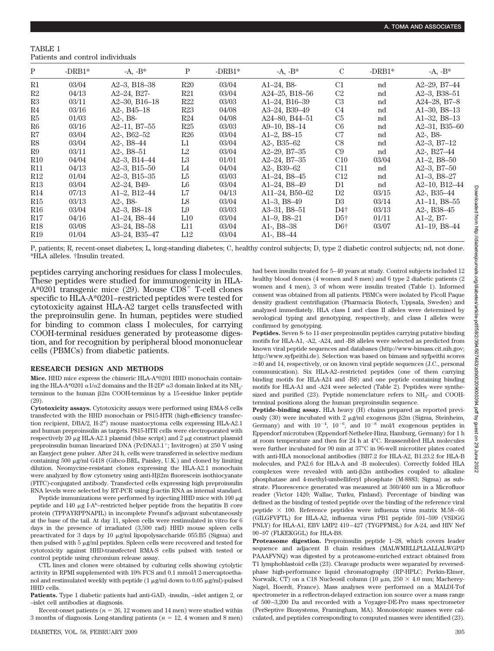TABLE 1 Patients and control individuals

| P               | $-DRB1*$ | $-A, -B^*$          | Ρ              | $-DRB1*$ | $-A, -B^*$               | $\mathcal{C}$   | $-DRB1*$ | $-A, -B^*$                            |
|-----------------|----------|---------------------|----------------|----------|--------------------------|-----------------|----------|---------------------------------------|
| R1              | 03/04    | $A2-3$ , B18-38     | R20            | 03/04    | $Al-24$ , B <sub>8</sub> | C1              | nd       | $A2-29$ , $B7-44$                     |
| R2              | 04/13    | A2-24, B27-         | R21            | 03/04    | A24-25, B18-56           | C2              | nd       | $A2-3$ , B38-51                       |
| R3              | 03/11    | $A2-30$ , B16-18    | R22            | 03/03    | $A1-24$ , B $16-39$      | C <sub>3</sub>  | nd       | A24 $-28$ , B7 $-8$                   |
| R4              | 03/16    | A2-, $B45-18$       | R23            | 04/08    | A3-24, B39-49            | C4              | nd       | $A1-30, B8-13$                        |
| R5              | 01/03    | $A2$ -, $B8$ -      | R24            | 04/08    | A24-80, B44-51           | C5              | nd       | $A1-32, B8-13$                        |
| R <sub>6</sub>  | 03/16    | $A2-11$ , B7 $-55$  | R25            | 03/03    | $A9-10. B8-14$           | C6              | nd       | $A2-31$ , B35-60                      |
| R7              | 03/04    | A2-, $B62-52$       | R26            | 03/04    | $A1-2, B8-15$            | C7              | nd       | $A2$ -, $B8$ -                        |
| R8              | 03/04    | A2-, $B8-44$        | L1             | 03/04    | A2-, $B35-62$            | C8              | nd       | $A2-3$ , $B7-12$                      |
| R9              | 03/11    | A2-, $B8-51$        | L2             | 03/04    | $A2-29$ , B7 $-35$       | C9              | nd       | A <sub>2</sub> -, B <sub>27</sub> -44 |
| R10             | 04/04    | $A2-3. B14-44$      | L <sub>3</sub> | 01/01    | $A2 - 24$ , B7 $-35$     | C10             | 03/04    | $A1-2. B8-50$                         |
| R11             | 04/13    | $A2-3$ , B15-50     | L4             | 04/04    | A2-, $B39-62$            | C11             | nd       | $A2-3, B7-50$                         |
| R12             | 01/04    | A2 $-3$ , B15 $-35$ | L <sub>5</sub> | 03/03    | A1 $-24$ , B8 $-45$      | C <sub>12</sub> | nd       | $A1-3$ , $B8-27$                      |
| R13             | 03/04    | A2-24, B49-         | L6             | 03/04    | $A1-24$ , $B8-49$        | D1              | nd       | A2-10, B12-44                         |
| R14             | 07/13    | A1 $-2$ , B12 $-44$ | L7             | 04/13    | A11-24, B50-62           | D <sub>2</sub>  | 03/15    | A2-, $B35-44$                         |
| R15             | 03/13    | $A2$ -, $B8$ -      | L8             | 03/04    | A1 $-3$ , B8 $-49$       | D3              | 03/14    | $A1-11$ , $B8-55$                     |
| R16             | 03/04    | $A2-3$ , $B8-18$    | L9             | 03/03    | $A3-31$ , $B8-51$        | D4†             | 03/13    | A2-, $B38-45$                         |
| R17             | 04/16    | A1-24, B8-44        | L10            | 03/04    | $A1-9, B8-21$            | $D5+$           | 01/11    | $A1-2, B7-$                           |
| R <sub>18</sub> | 03/08    | A3-24, B8-58        | L11            | 03/04    | A1-, $B8-38$             | $D6\dagger$     | 03/07    | $A1-19$ , $B8-44$                     |
| R19             | 01/04    | A3-24, B35-47       | L12            | 03/04    | A1-, $B8-44$             |                 |          |                                       |

P, patients; R, recent-onset diabetes; L, long-standing diabetes; C, healthy control subjects; D, type 2 diabetic control subjects; nd, not done. \*HLA alleles. †Insulin treated.

peptides carrying anchoring residues for class I molecules. These peptides were studied for immunogenicity in HLA-A\*0201 transgenic mice (29). Mouse  $CD\overline{8}^+$  T-cell clones specific to HLA-A\*0201–restricted peptides were tested for cytotoxicity against HLA-A2 target cells transfected with the preproinsulin gene. In human, peptides were studied for binding to common class I molecules, for carrying COOH-terminal residues generated by proteasome digestion, and for recognition by peripheral blood mononuclear cells (PBMCs) from diabetic patients.

#### **RESEARCH DESIGN AND METHODS**

**Mice.** HHD mice express the chimeric HLA-A\*0201 HHD monochain containing the HLA-A\*0201  $\alpha$ 1/ $\alpha$ 2 domains and the H-2D<sup>b</sup>  $\alpha$ 3 domain linked at its NH<sub>2</sub>terminus to the human  $\beta$ 2m COOH-terminus by a 15-residue linker peptide (29).

**Cytotoxicity assays.** Cytotoxicity assays were performed using RMA-S cells transfected with the HHD monochain or P815-HTR (high-efficiency transfection recipient, DBA/2, H-2<sup>d</sup>) mouse mastocytoma cells expressing HLA-A2.1 and human preproinsulin as targets. P815-HTR cells were electroporated with respectively 20  $\mu$ g HLA-A2.1 plasmid (blue script) and 2  $\mu$ g construct plasmid preproinsulin human linearized DNA (PcDNA3.1<sup>+</sup>; Invitrogen) at  $250$  V using an Easyject gene pulser. After 24 h, cells were transferred in selective medium containing  $500 \mu g/ml$  G418 (Gibco-BRL, Paisley, U.K.) and cloned by limiting dilution. Neomycine-resistant clones expressing the HLA-A2.1 monochain were analyzed by flow cytometry using anti-H $\beta$ 2m fluorescein isothiocyanate (FITC)-conjugated antibody. Transfected cells expressing high preproinsulin RNA levels were selected by RT-PCR using  $\beta$ -actin RNA as internal standard.

Peptide immunizations were performed by injecting HHD mice with  $100 \mu g$ peptide and  $140 \mu g$  I-A<sup>b</sup>-restricted helper peptide from the hepatitis B core protein (TPPAYRPPNAPIL) in incomplete Freund's adjuvant subcutaneously at the base of the tail. At day 11, spleen cells were restimulated in vitro for 6 days in the presence of irradiated (3,500 rad) HHD mouse spleen cells preactivated for 3 days by 10  $\mu$ g/ml lipopolysaccharide 055:B5 (Sigma) and then pulsed with  $5 \mu\text{g/ml}$  peptides. Spleen cells were recovered and tested for cytotoxicity against HHD-transfected RMA-S cells pulsed with tested or control peptide using chromium release assay.

CTL lines and clones were obtained by culturing cells showing cytolytic activity in RPMI supplemented with 10% FCS and 0.1 mmol/l 2-mercaptoethanol and restimulated weekly with peptide (1  $\mu$ g/ml down to 0.05  $\mu$ g/ml)-pulsed HHD cells.

**Patients.** Type 1 diabetic patients had anti-GAD, -insulin, –islet antigen 2, or –islet cell antibodies at diagnosis.

Recent-onset patients ( $n = 26$ , 12 women and 14 men) were studied within 3 months of diagnosis. Long-standing patients ( $n = 12$ , 4 women and 8 men) had been insulin treated for 5–40 years at study. Control subjects included 12 healthy blood donors (4 women and 8 men) and 6 type 2 diabetic patients (2 women and 4 men), 3 of whom were insulin treated (Table 1). Informed consent was obtained from all patients. PBMCs were isolated by Ficoll Paque density gradient centrifugation (Pharmacia Biotech, Uppsala, Sweden) and analyzed immediately. HLA class I and class II alleles were determined by serological typing and genotyping, respectively, and class I alleles were confirmed by genotyping.

**Peptides.** Seven 8- to 11-mer preproinsulin peptides carrying putative binding motifs for HLA-A1, -A2, -A24, and -B8 alleles were selected as predicted from known viral peptide sequences and databases (http://www-bimass.cit.nih.gov; http://www.syfpeithi.de). Selection was based on bimass and syfpeithi scores  $\geq$ 40 and 14, respectively, or on known viral peptide sequences (J.C., personal communication). Six HLA-A2–restricted peptides (one of them carrying binding motifs for HLA-A24 and -B8) and one peptide containing binding motifs for HLA-A1 and -A24 were selected (Table 2). Peptides were synthesized and purified  $(23)$ . Peptide nomenclature refers to NH<sub>2</sub>- and COOHterminal positions along the human preproinsulin sequence.

**Peptide-binding assay.** HLA heavy (H) chains prepared as reported previously  $(30)$  were incubated with 2  $\mu$ g/ml exogenous  $\beta$ 2m (Sigma, Steinheim, Germany) and with  $10^{-4}$ ,  $10^{-6}$ , and  $10^{-8}$  mol/l exogenous peptides in Eppendorf microtubes (Eppendorf-Netheler-Hinz, Hamburg, Germany) for 1 h at room temperature and then for 24 h at 4°C. Reassembled HLA molecules were further incubated for 90 min at 37°C in 96-well microtiter plates coated with anti-HLA monoclonal antibodies (BB7.2 for HLA-A2, B1.23.2 for HLA-B molecules, and PA2.6 for HLA-A and -B molecules). Correctly folded HLA  $complexes$  were revealed with anti- $\beta 2m$  antibodies coupled to alkaline phosphatase and 4-methyl-umbelliferyl phosphate (M-8883; Sigma) as substrate. Fluorescence generated was measured at 360/460 nm in a Microfluor reader (Victor 1420; Wallac, Turku, Finland). Percentage of binding was defined as the binding of tested peptide over the binding of the reference viral peptide  $\times$  100. Reference peptides were influenza virus matrix M.58–66 (GILGFVFTL) for HLA-A2, influenza virus PB1 peptide 591–599 (VSDGG PNLY) for HLA-A1, EBV LMP2 419–427 (TYGPFMSL) for A-24, and HIV Nef 90–97 (FLKEKGGL) for HLA-B8.

**Proteasome digestion.** Preproinsulin peptide 1–28, which covers leader sequence and adjacent B chain residues (MALWMRLLPLLALLALWGPD PAAAFVNQ) was digested by a proteasome-enriched extract obtained from T1 lymphoblastoid cells (23). Cleavage products were separated by reversedphase high-performance liquid chromatography (RP-HPLC; Perkin-Elmer, Norwalk, CT) on a C18 Nucleosil column (10  $\mu$ m, 250  $\times$  4.0 mm; Macherey-Nagel, Hoerdt, France). Mass analyses were performed on a MALDI-Tof spectrometer in a reflectron-delayed extraction ion source over a mass range of 500–3,200 Da and recorded with a Voyager-DE-Pro mass spectrometer (PerSeptive Biosystems, Framingham, MA). Monoisotopic masses were calculated, and peptides corresponding to computed masses were identified (23).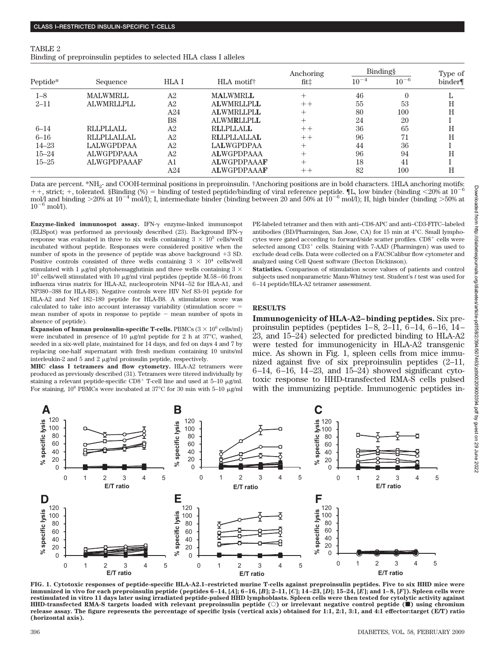| TABLE 2                                                           |  |  |  |  |
|-------------------------------------------------------------------|--|--|--|--|
| Binding of preproinsulin peptides to selected HLA class I alleles |  |  |  |  |

|           |                    |                |                        | Anchoring | Binding§  |           | Type of |
|-----------|--------------------|----------------|------------------------|-----------|-----------|-----------|---------|
| Peptide*  | Sequence           | HLA I          | HLA motif <sup>†</sup> | fit‡      | $10^{-4}$ | $10^{-6}$ | binder  |
| $1 - 8$   | <b>MALWMRLL</b>    | A <sub>2</sub> | <b>MALWMRLL</b>        |           | 46        | $\theta$  |         |
| $2 - 11$  | <b>ALWMRLLPLL</b>  | A2             | <b>ALWMRLLPLL</b>      | $++$      | 55        | 53        | Н       |
|           |                    | A24            | <b>ALWMRLLPLL</b>      |           | 80        | 100       | Н       |
|           |                    | B <sub>8</sub> | <b>ALWMRLLPLL</b>      |           | 24        | 20        |         |
| $6 - 14$  | <b>RLLPLLALL</b>   | A <sub>2</sub> | <b>RLLPLLALL</b>       | $++$      | 36        | 65        | Н       |
| $6 - 16$  | <b>RLLPLLALLAL</b> | A2             | <b>RLLPLLALLAL</b>     | $++$      | 96        | 71        | Н       |
| $14 - 23$ | LALWGPDPAA         | A <sub>2</sub> | <b>LALWGPDPAA</b>      | $\pm$     | 44        | 36        |         |
| $15 - 24$ | <b>ALWGPDPAAA</b>  | A2             | <b>ALWGPDPAAA</b>      |           | 96        | 94        | H       |
| $15 - 25$ | <b>ALWGPDPAAAF</b> | A1             | <b>ALWGPDPAAAF</b>     | $^{+}$    | 18        | 41        |         |
|           |                    | A24            | <b>ALWGPDPAAAF</b>     | $++$      | 82        | 100       | Н       |

Data are percent. \*NH<sub>2</sub>- and COOH-terminal positions in preproinsulin. †Anchoring positions are in bold characters. ‡HLA anchoring motifs:  $++$ , strict;  $+$ , tolerated. §Binding (%) = binding of tested peptide/binding of viral reference peptide.  $[$ L, low binder (binding  $\langle 20\% \text{ at } 10^{-6} \rangle$ mol/l and binding  $>20\%$  at  $10^{-4}$  mol/l); I, intermediate binder (binding between 20 and 50% at  $10^{-6}$  mol/l); H, high binder (binding  $>50\%$  at  $10^{-6}$  mol/l).

Enzyme-linked immunospot assay. IFN- $\gamma$  enzyme-linked immunospot (ELISpot) was performed as previously described (23). Background IFN- $\gamma$ response was evaluated in three to six wells containing  $3 \times 10^5$  cells/well incubated without peptide. Responses were considered positive when the number of spots in the presence of peptide was above background  $+3$  SD. Positive controls consisted of three wells containing  $3 \times 10^4$  cells/well stimulated with 1  $\mu$ g/ml phytohemagglutinin and three wells containing 3  $\times$  $10^5$  cells/well stimulated with 10  $\mu\text{g/ml}$  viral peptides (peptide M.58–66 from influenza virus matrix for HLA-A2, nucleoprotein NP44–52 for HLA-A1, and NP380–388 for HLA-B8). Negative controls were HIV Nef 83–91 peptide for HLA-A2 and Nef 182–189 peptide for HLA-B8. A stimulation score was calculated to take into account interassay variability (stimulation score  $=$ mean number of spots in response to peptide  $-$  mean number of spots in absence of peptide).

**Expansion of human proinsulin-specific T-cells.** PBMCs  $(3 \times 10^6 \text{ cells/ml})$ were incubated in presence of 10  $\mu$ g/ml peptide for 2 h at 37°C, washed, seeded in a six-well plate, maintained for 14 days, and fed on days 4 and 7 by replacing one-half supernatant with fresh medium containing 10 units/ml interleukin-2 and 5 and 2  $\mu$ g/ml proinsulin peptide, respectively.

**MHC class I tetramers and flow cytometry.** HLA-A2 tetramers were produced as previously described (31). Tetramers were titered individually by staining a relevant peptide-specific  $CD8^+$  T-cell line and used at 5–10  $\mu$ g/ml. For staining,  $10^6$  PBMCs were incubated at 37°C for 30 min with 5–10  $\mu$ g/ml PE-labeled tetramer and then with anti–CD8-APC and anti–CD3-FITC–labeled antibodies (BD/Pharmingen, San Jose, CA) for 15 min at 4°C. Small lymphocytes were gated according to forward/side scatter profiles.  $CD8<sup>+</sup>$  cells were selected among  $CD3^+$  cells. Staining with 7-AAD (Pharmingen) was used to exclude dead cells. Data were collected on a FACSCalibur flow cytometer and analyzed using Cell Quest software (Becton Dickinson).

**Statistics.** Comparison of stimulation score values of patients and control subjects used nonparametric Mann-Whitney test. Student's *t* test was used for 6–14 peptide/HLA-A2 tetramer assessment.

# **RESULTS**

**Immunogenicity of HLA-A2–binding peptides.** Six preproinsulin peptides (peptides 1–8, 2–11, 6–14, 6–16, 14– 23, and 15–24) selected for predicted binding to HLA-A2 were tested for immunogenicity in HLA-A2 transgenic mice. As shown in Fig. 1, spleen cells from mice immunized against five of six preproinsulin peptides (2–11, 6–14, 6–16, 14–23, and 15–24) showed significant cytotoxic response to HHD-transfected RMA-S cells pulsed with the immunizing peptide. Immunogenic peptides in-



**FIG. 1. Cytotoxic responses of peptide-specific HLA-A2.1–restricted murine T-cells against preproinsulin peptides. Five to six HHD mice were** immunized in vivo for each preproinsulin peptide (peptides 6-14, [A]; 6-16, [B]; 2-11, [C]; 14-23, [D]; 15-24, [E]; and 1-8, [F]). Spleen cells were **restimulated in vitro 11 days later using irradiated peptide-pulsed HHD lymphoblasts. Spleen cells were then tested for cytolytic activity against HHD-transfected RMA-S targets loaded with relevant preproinsulin peptide (**E**) or irrelevant negative control peptide (**f**) using chromium release assay. The figure represents the percentage of specific lysis (vertical axis) obtained for 1:1, 2:1, 3:1, and 4:1 effector:target (E/T) ratio (horizontal axis).**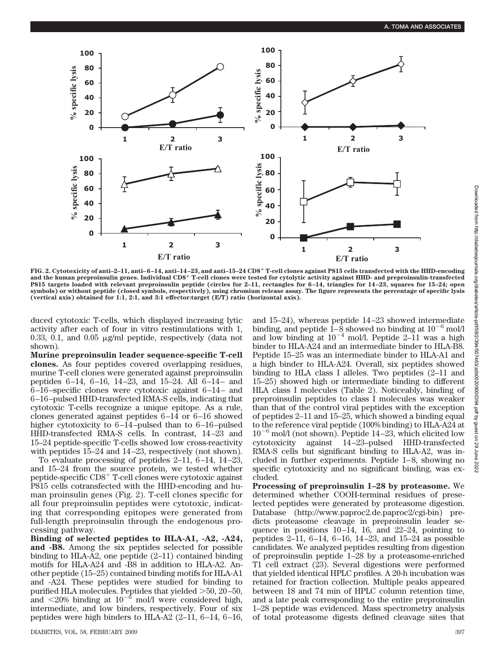

**FIG. 2. Cytotoxicity of anti–2–11, anti–6–14, anti–14–23, and anti–15–24 CD8 T-cell clones against P815 cells transfected with the HHD-encoding and the human preproinsulin genes. Individual CD8 T-cell clones were tested for cytolytic activity against HHD- and preproinsulin-transfected P815 targets loaded with relevant preproinsulin peptide (circles for 2–11, rectangles for 6–14, triangles for 14–23, squares for 15–24; open symbols) or without peptide (closed symbols, respectively), using chromium release assay. The figure represents the percentage of specific lysis (vertical axis) obtained for 1:1, 2:1, and 3:1 effector:target (E/T) ratio (horizontal axis).**

duced cytotoxic T-cells, which displayed increasing lytic activity after each of four in vitro restimulations with 1, 0.33, 0.1, and 0.05  $\mu$ g/ml peptide, respectively (data not shown).

**Murine preproinsulin leader sequence-specific T-cell clones.** As four peptides covered overlapping residues, murine T-cell clones were generated against preproinsulin peptides 6–14, 6–16, 14–23, and 15–24. All 6–14– and 6–16–specific clones were cytotoxic against 6–14– and 6–16–pulsed HHD-transfected RMA-S cells, indicating that cytotoxic T-cells recognize a unique epitope. As a rule, clones generated against peptides 6–14 or 6–16 showed higher cytotoxicity to 6–14–pulsed than to 6–16–pulsed HHD-transfected RMA-S cells. In contrast, 14–23 and 15–24 peptide-specific T-cells showed low cross-reactivity with peptides 15–24 and 14–23, respectively (not shown).

To evaluate processing of peptides 2–11, 6–14, 14–23, and 15–24 from the source protein, we tested whether peptide-specific  $CD8<sup>+</sup>$  T-cell clones were cytotoxic against P815 cells cotransfected with the HHD-encoding and human proinsulin genes (Fig. 2). T-cell clones specific for all four preproinsulin peptides were cytotoxic, indicating that corresponding epitopes were generated from full-length preproinsulin through the endogenous processing pathway.

**Binding of selected peptides to HLA-A1, -A2, -A24, and -B8.** Among the six peptides selected for possible binding to HLA-A2, one peptide (2–11) contained binding motifs for HLA-A24 and -B8 in addition to HLA-A2. Another peptide (15–25) contained binding motifs for HLA-A1 and -A24. These peptides were studied for binding to purified HLA molecules. Peptides that yielded 50, 20–50, and  $\langle 20\%$  binding at  $10^{-6}$  mol/l were considered high, intermediate, and low binders, respectively. Four of six peptides were high binders to HLA-A2 (2–11, 6–14, 6–16, and 15–24), whereas peptide 14–23 showed intermediate binding, and peptide  $\overline{1-8}$  showed no binding at  $10^{-6}$  mol/l and low binding at  $10^{-4}$  mol/l. Peptide 2–11 was a high binder to HLA-A24 and an intermediate binder to HLA-B8. Peptide 15–25 was an intermediate binder to HLA-A1 and a high binder to HLA-A24. Overall, six peptides showed binding to HLA class I alleles. Two peptides (2–11 and 15–25) showed high or intermediate binding to different HLA class I molecules (Table 2). Noticeably, binding of preproinsulin peptides to class I molecules was weaker than that of the control viral peptides with the exception of peptides 2–11 and 15–25, which showed a binding equal to the reference viral peptide (100% binding) to HLA-A24 at  $10^{-6}$  mol/l (not shown). Peptide 14–23, which elicited low cytotoxicity against 14–23–pulsed HHD-transfected RMA-S cells but significant binding to HLA-A2, was included in further experiments. Peptide 1–8, showing no specific cytotoxicity and no significant binding, was excluded.

**Processing of preproinsulin 1–28 by proteasome.** We determined whether COOH-terminal residues of preselected peptides were generated by proteasome digestion. Database (http://www.paproc2.de.paproc2/cgi-bin) predicts proteasome cleavage in preproinsulin leader sequence in positions 10–14, 16, and 22–24, pointing to peptides 2–11, 6–14, 6–16, 14–23, and 15–24 as possible candidates. We analyzed peptides resulting from digestion of preproinsulin peptide 1–28 by a proteasome-enriched T1 cell extract (23). Several digestions were performed that yielded identical HPLC profiles. A 20-h incubation was retained for fraction collection. Multiple peaks appeared between 18 and 74 min of HPLC column retention time, and a late peak corresponding to the entire preproinsulin 1–28 peptide was evidenced. Mass spectrometry analysis of total proteasome digests defined cleavage sites that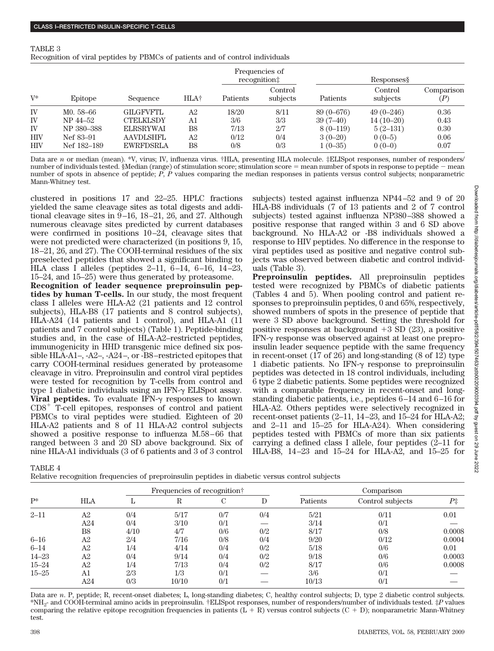| TABLE 3                                                                       |  |
|-------------------------------------------------------------------------------|--|
| Recognition of viral peptides by PBMCs of patients and of control individuals |  |
| Frequencies of                                                                |  |

|            |             |                  |      |          | Frequencies of<br>recognition# | Responses     |                     |                   |  |
|------------|-------------|------------------|------|----------|--------------------------------|---------------|---------------------|-------------------|--|
| $V^*$      | Epitope     | Sequence         | HLA† | Patients | Control<br>subjects            | Patients      | Control<br>subjects | Comparison<br>(P) |  |
| IV         | M0. 58-66   | <b>GILGFVFTL</b> | A2   | 18/20    | 8/11                           | $89(0 - 676)$ | $49(0-246)$         | 0.36              |  |
| IV         | NP 44-52    | CTELKLSDY        | A1   | 3/6      | 3/3                            | $39(7-40)$    | $14(10-20)$         | 0.43              |  |
| IV         | NP 380-388  | <b>ELRSRYWAI</b> | B8   | 7/13     | 2/7                            | $8(0-119)$    | $5(2-131)$          | 0.30              |  |
| <b>HIV</b> | Nef 83–91   | <b>AAVDLSHFL</b> | A2   | 0/12     | 0/4                            | $3(0-20)$     | $0(0-5)$            | 0.06              |  |
| <b>HIV</b> | Nef 182–189 | <b>EWRFDSRLA</b> | B8   | 0/8      | 0/3                            | $1(0-35)$     | $0(0-0)$            | 0.07              |  |

Data are *n* or median (mean). \*V, virus; IV, influenza virus. †HLA, presenting HLA molecule. ‡ELISpot responses, number of responders/ number of individuals tested. §Median (range) of stimulation score; stimulation score = mean number of spots in response to peptide - mean number of spots in absence of peptide; *P*, *P* values comparing the median responses in patients versus control subjects; nonparametric Mann-Whitney test.

clustered in positions 17 and 22–25. HPLC fractions yielded the same cleavage sites as total digests and additional cleavage sites in 9–16, 18–21, 26, and 27. Although numerous cleavage sites predicted by current databases were confirmed in positions 10–24, cleavage sites that were not predicted were characterized (in positions 9, 15, 18–21, 26, and 27). The COOH-terminal residues of the six preselected peptides that showed a significant binding to HLA class I alleles (peptides 2–11, 6–14, 6–16, 14–23, 15–24, and 15–25) were thus generated by proteasome.

**Recognition of leader sequence preproinsulin peptides by human T-cells.** In our study, the most frequent class I alleles were HLA-A2 (21 patients and 12 control subjects), HLA-B8 (17 patients and 8 control subjects), HLA-A24 (14 patients and 1 control), and HLA-A1 (11 patients and 7 control subjects) (Table 1). Peptide-binding studies and, in the case of HLA-A2–restricted peptides, immunogenicity in HHD transgenic mice defined six possible HLA-A1–, -A2–, -A24–, or -B8–restricted epitopes that carry COOH-terminal residues generated by proteasome cleavage in vitro. Preproinsulin and control viral peptides were tested for recognition by T-cells from control and type 1 diabetic individuals using an IFN- $\gamma$  ELISpot assay. **Viral peptides.** To evaluate IFN- $\gamma$  responses to known  $CD8<sup>+</sup>$  T-cell epitopes, responses of control and patient PBMCs to viral peptides were studied. Eighteen of 20 HLA-A2 patients and 8 of 11 HLA-A2 control subjects showed a positive response to influenza M.58–66 that ranged between 3 and 20 SD above background. Six of nine HLA-A1 individuals (3 of 6 patients and 3 of 3 control subjects) tested against influenza NP44–52 and 9 of 20 HLA-B8 individuals (7 of 13 patients and 2 of 7 control subjects) tested against influenza NP380–388 showed a positive response that ranged within 3 and 6 SD above background. No HLA-A2 or -B8 individuals showed a response to HIV peptides. No difference in the response to viral peptides used as positive and negative control subjects was observed between diabetic and control individuals (Table 3).

**Preproinsulin peptides.** All preproinsulin peptides tested were recognized by PBMCs of diabetic patients (Tables 4 and 5). When pooling control and patient responses to preproinsulin peptides, 0 and 65%, respectively, showed numbers of spots in the presence of peptide that were 3 SD above background. Setting the threshold for positive responses at background  $+3$  SD (23), a positive IFN- $\gamma$  response was observed against at least one preproinsulin leader sequence peptide with the same frequency in recent-onset (17 of 26) and long-standing (8 of 12) type 1 diabetic patients. No IFN- $\gamma$  response to preproinsulin peptides was detected in 18 control individuals, including 6 type 2 diabetic patients. Some peptides were recognized with a comparable frequency in recent-onset and longstanding diabetic patients, i.e., peptides 6–14 and 6–16 for HLA-A2. Others peptides were selectively recognized in recent-onset patients (2–11, 14–23, and 15–24 for HLA-A2; and 2–11 and 15–25 for HLA-A24). When considering peptides tested with PBMCs of more than six patients carrying a defined class I allele, four peptides (2–11 for HLA-B8, 14–23 and 15–24 for HLA-A2, and 15–25 for

TABLE 4

| Relative recognition frequencies of preproinsulin peptides in diabetic versus control subjects |  |
|------------------------------------------------------------------------------------------------|--|
|------------------------------------------------------------------------------------------------|--|

|           |           |      | Frequencies of recognition† |     |     |          | Comparison       |        |  |  |
|-----------|-----------|------|-----------------------------|-----|-----|----------|------------------|--------|--|--|
| $P^*$     | HLA       |      | R                           | С   | D   | Patients | Control subjects | P‡     |  |  |
| $2 - 11$  | A2        | 0/4  | 5/17                        | 0/7 | 0/4 | 5/21     | 0/11             | 0.01   |  |  |
|           | A24       | 0/4  | 3/10                        | 0/1 |     | 3/14     | 0/1              |        |  |  |
|           | <b>B8</b> | 4/10 | 4/7                         | 0/6 | 0/2 | 8/17     | 0/8              | 0.0008 |  |  |
| $6 - 16$  | A2        | 2/4  | 7/16                        | 0/8 | 0/4 | 9/20     | 0/12             | 0.0004 |  |  |
| $6 - 14$  | A2        | 1/4  | 4/14                        | 0/4 | 0/2 | 5/18     | 0/6              | 0.01   |  |  |
| $14 - 23$ | A2        | 0/4  | 9/14                        | 0/4 | 0/2 | 9/18     | 0/6              | 0.0003 |  |  |
| $15 - 24$ | Α2        | 1/4  | 7/13                        | 0/4 | 0/2 | 8/17     | 0/6              | 0.0008 |  |  |
| $15 - 25$ | A1        | 2/3  | 1/3                         | 0/1 |     | 3/6      | 0/1              |        |  |  |
|           | A24       | 0/3  | 10/10                       | 0/1 |     | 10/13    | 0/1              |        |  |  |

Data are *n*. P, peptide; R, recent-onset diabetes; L, long-standing diabetes; C, healthy control subjects; D, type 2 diabetic control subjects. \*NH2- and COOH-terminal amino acids in preproinsulin. †ELISpot responses, number of responders/number of individuals tested. ‡*P* values comparing the relative epitope recognition frequencies in patients  $(L + R)$  versus control subjects  $(C + D)$ ; nonparametric Mann-Whitney test.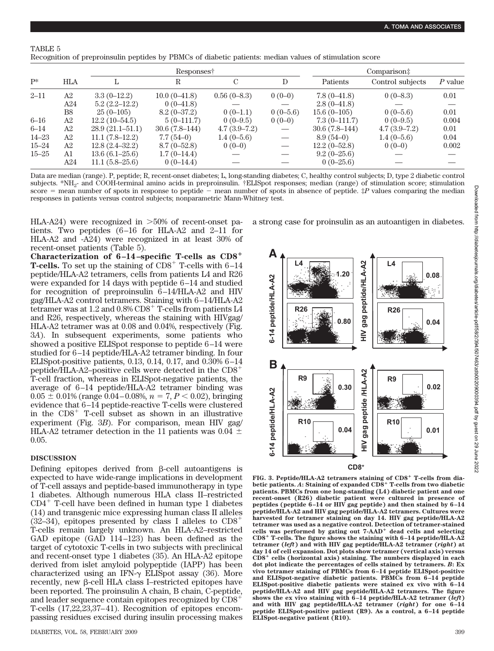# TABLE 5

|           |                |                     | Responses†      |                | Comparison‡ |                 |                  |           |
|-----------|----------------|---------------------|-----------------|----------------|-------------|-----------------|------------------|-----------|
| $P^*$     | <b>HLA</b>     |                     | R               | C              | D           | Patients        | Control subjects | $P$ value |
| $2 - 11$  | A <sub>2</sub> | $3.3(0-12.2)$       | $10.0(0-41.8)$  | $0.56(0-8.3)$  | $0(0-0)$    | $7.8(0-41.8)$   | $0(0-8.3)$       | 0.01      |
|           | A24            | $5.2(2.2-12.2)$     | $0(0-41.8)$     |                |             | $2.8(0-41.8)$   |                  |           |
|           | B8             | $25(0-105)$         | $8.2(0-37.2)$   | $0(0-1.1)$     | $0(0-5.6)$  | $15.6(0-105)$   | $0(0-5.6)$       | 0.01      |
| $6 - 16$  | A <sub>2</sub> | $12.2(10-54.5)$     | $5(0-111.7)$    | $0(0-9.5)$     | $0(0-0)$    | $7.3(0-111.7)$  | $0(0-9.5)$       | 0.004     |
| $6 - 14$  | A <sub>2</sub> | $28.9(21.1 - 51.1)$ | $30.6(7.8-144)$ | $4.7(3.9-7.2)$ |             | $30.6(7.8-144)$ | $4.7(3.9-7.2)$   | 0.01      |
| $14 - 23$ | A <sub>2</sub> | $11.1(7.8-12.2)$    | $7.7(54-0)$     | $1.4(0-5.6)$   |             | $8.9(54-0)$     | $1.4(0-5.6)$     | 0.04      |
| $15 - 24$ | A <sub>2</sub> | $12.8(2.4 - 32.2)$  | $8.7(0-52.8)$   | $0(0-0)$       |             | $12.2(0-52.8)$  | $0(0-0)$         | 0.002     |
| $15 - 25$ | A <sub>1</sub> | $13.6(6.1-25.6)$    | $1.7(0-14.4)$   |                |             | $9.2(0-25.6)$   |                  |           |
|           | A24            | $11.1(5.8-25.6)$    | $0(0-14.4)$     |                |             | $0(0-25.6)$     |                  |           |

Data are median (range). P, peptide; R, recent-onset diabetes; L, long-standing diabetes; C, healthy control subjects; D, type 2 diabetic control subjects. \*NH2- and COOH-terminal amino acids in preproinsulin. †ELISpot responses; median (range) of stimulation score; stimulation score  $=$  mean number of spots in response to peptide  $-$  mean number of spots in absence of peptide.  $\sharp P$  values comparing the median responses in patients versus control subjects; nonparametric Mann-Whitney test.

HLA-A24) were recognized in 50% of recent-onset patients. Two peptides (6–16 for HLA-A2 and 2–11 for HLA-A2 and -A24) were recognized in at least 30% of recent-onset patients (Table 5).

**Characterization of 6–14–specific T-cells as CD8 T-cells.** To set up the staining of  $CD8^+$  T-cells with  $6-14$ peptide/HLA-A2 tetramers, cells from patients L4 and R26 were expanded for 14 days with peptide 6–14 and studied for recognition of preproinsulin 6–14/HLA-A2 and HIV gag/HLA-A2 control tetramers. Staining with 6–14/HLA-A2 tetramer was at 1.2 and  $0.8\%$  CD8<sup>+</sup> T-cells from patients L4 and R26, respectively, whereas the staining with HIVgag/ HLA-A2 tetramer was at 0.08 and 0.04%, respectively (Fig. 3*A*). In subsequent experiments, some patients who showed a positive ELISpot response to peptide 6–14 were studied for 6–14 peptide/HLA-A2 tetramer binding. In four ELISpot-positive patients, 0.13, 0.14, 0.17, and 0.30% 6–14 peptide/HLA-A2–positive cells were detected in the CD8 T-cell fraction, whereas in ELISpot-negative patients, the average of 6–14 peptide/HLA-A2 tetramer binding was  $0.05 \pm 0.01\%$  (range 0.04–0.08%,  $n = 7, P < 0.02$ ), bringing evidence that 6–14 peptide-reactive T-cells were clustered in the  $CDS<sup>+</sup>$  T-cell subset as shown in an illustrative experiment (Fig. 3*B*). For comparison, mean HIV gag/ HLA-A2 tetramer detection in the 11 patients was 0.04  $\pm$ 0.05.

### **DISCUSSION**

Defining epitopes derived from  $\beta$ -cell autoantigens is expected to have wide-range implications in development of T-cell assays and peptide-based immunotherapy in type 1 diabetes. Although numerous HLA class II–restricted  $CD4^+$  T-cell have been defined in human type 1 diabetes (14) and transgenic mice expressing human class II alleles  $(32-34)$ , epitopes presented by class I alleles to  $CD8<sup>+</sup>$ T-cells remain largely unknown. An HLA-A2–restricted GAD epitope (GAD 114–123) has been defined as the target of cytotoxic T-cells in two subjects with preclinical and recent-onset type 1 diabetes (35). An HLA-A2 epitope derived from islet amyloid polypeptide (IAPP) has been characterized using an IFN- $\gamma$  ELISpot assay (36). More recently, new β-cell HLA class I–restricted epitopes have been reported. The proinsulin A chain, B chain, C-peptide, and leader sequence contain epitopes recognized by CD8 T-cells (17,22,23,37–41). Recognition of epitopes encompassing residues excised during insulin processing makes

a strong case for proinsulin as an autoantigen in diabetes.



FIG. 3. Peptide/HLA-A2 tetramers staining of CD8<sup>+</sup> T-cells from dia**betic patients.** *A***: Staining of expanded CD8 T-cells from two diabetic patients. PBMCs from one long-standing (L4) diabetic patient and one recent-onset (R26) diabetic patient were cultured in presence of peptides (peptide 6–14 or HIV gag peptide) and then stained by 6–14 peptide/HLA-A2 and HIV gag peptide/HLA-A2 tetramers. Cultures were harvested for tetramer staining on day 14. HIV gag peptide/HLA-A2 tetramer was used as a negative control. Detection of tetramer-stained** cells was performed by gating out 7-AAD<sup>+</sup> dead cells and selecting **CD8 T-cells. The figure shows the staining with 6–14 peptide/HLA-A2 tetramer (***left***) and with HIV gag peptide/HLA-A2 tetramer (***right***) at day 14 of cell expansion. Dot plots show tetramer (vertical axis) versus CD8 cells (horizontal axis) staining. The numbers displayed in each dot plot indicate the percentages of cells stained by tetramers.** *B***: Ex vivo tetramer staining of PBMCs from 6–14 peptide ELISpot-positive and ELISpot-negative diabetic patients. PBMCs from 6–14 peptide ELISpot-positive diabetic patients were stained ex vivo with 6–14 peptide/HLA-A2 and HIV gag peptide/HLA-A2 tetramers. The figure shows the ex vivo staining with 6–14 peptide/HLA-A2 tetramer (***left***) and with HIV gag peptide/HLA-A2 tetramer (***right***) for one 6–14 peptide ELISpot-positive patient (R9). As a control, a 6–14 peptide ELISpot-negative patient (R10).**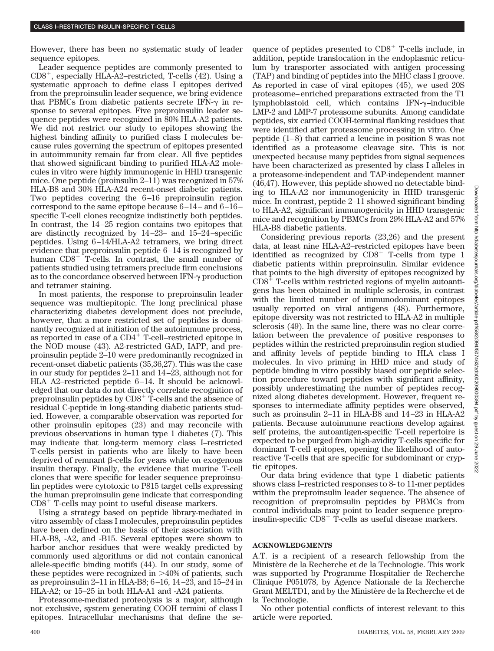However, there has been no systematic study of leader sequence epitopes.

Leader sequence peptides are commonly presented to  $CD8<sup>+</sup>$ , especially HLA-A2–restricted, T-cells (42). Using a systematic approach to define class I epitopes derived from the preproinsulin leader sequence, we bring evidence that PBMCs from diabetic patients secrete IFN- $\gamma$  in response to several epitopes. Five preproinsulin leader sequence peptides were recognized in 80% HLA-A2 patients. We did not restrict our study to epitopes showing the highest binding affinity to purified class I molecules because rules governing the spectrum of epitopes presented in autoimmunity remain far from clear. All five peptides that showed significant binding to purified HLA-A2 molecules in vitro were highly immunogenic in HHD transgenic mice. One peptide (proinsulin 2–11) was recognized in 57% HLA-B8 and 30% HLA-A24 recent-onset diabetic patients. Two peptides covering the 6–16 preproinsulin region correspond to the same epitope because 6–14– and 6–16– specific T-cell clones recognize indistinctly both peptides. In contrast, the 14–25 region contains two epitopes that are distinctly recognized by 14–23– and 15–24–specific peptides. Using 6–14/HLA-A2 tetramers, we bring direct evidence that preproinsulin peptide 6–14 is recognized by human  $CD8<sup>+</sup>$  T-cells. In contrast, the small number of patients studied using tetramers preclude firm conclusions as to the concordance observed between  $IFN-\gamma$  production and tetramer staining.

In most patients, the response to preproinsulin leader sequence was multiepitopic. The long preclinical phase characterizing diabetes development does not preclude, however, that a more restricted set of peptides is dominantly recognized at initiation of the autoimmune process, as reported in case of a  $CD4^+$  T-cell–restricted epitope in the NOD mouse (43). A2-restricted GAD, IAPP, and preproinsulin peptide 2–10 were predominantly recognized in recent-onset diabetic patients (35,36,27). This was the case in our study for peptides 2–11 and 14–23, although not for HLA A2–restricted peptide 6–14. It should be acknowledged that our data do not directly correlate recognition of preproinsulin peptides by  $CDS^+$  T-cells and the absence of residual C-peptide in long-standing diabetic patients studied. However, a comparable observation was reported for other proinsulin epitopes (23) and may reconcile with previous observations in human type 1 diabetes (7). This may indicate that long-term memory class I–restricted T-cells persist in patients who are likely to have been deprived of remnant  $\beta$ -cells for years while on exogenous insulin therapy. Finally, the evidence that murine T-cell clones that were specific for leader sequence preproinsulin peptides were cytotoxic to P815 target cells expressing the human preproinsulin gene indicate that corresponding  $CD8<sup>+</sup>$  T-cells may point to useful disease markers.

Using a strategy based on peptide library-mediated in vitro assembly of class I molecules, preproinsulin peptides have been defined on the basis of their association with HLA-B8, -A2, and -B15. Several epitopes were shown to harbor anchor residues that were weakly predicted by commonly used algorithms or did not contain canonical allele-specific binding motifs (44). In our study, some of these peptides were recognized in 40% of patients, such as preproinsulin 2–11 in HLA-B8; 6–16, 14–23, and 15–24 in HLA-A2; or 15–25 in both HLA-A1 and -A24 patients.

Proteasome-mediated proteolysis is a major, although not exclusive, system generating COOH termini of class I epitopes. Intracellular mechanisms that define the sequence of peptides presented to  $CD8<sup>+</sup>$  T-cells include, in addition, peptide translocation in the endoplasmic reticulum by transporter associated with antigen processing (TAP) and binding of peptides into the MHC class I groove. As reported in case of viral epitopes (45), we used 20S proteasome–enriched preparations extracted from the T1 lymphoblastoid cell, which contains  $IFN-\gamma$ -inducible LMP-2 and LMP-7 proteasome subunits. Among candidate peptides, six carried COOH-terminal flanking residues that were identified after proteasome processing in vitro. One peptide (1–8) that carried a leucine in position 8 was not identified as a proteasome cleavage site. This is not unexpected because many peptides from signal sequences have been characterized as presented by class I alleles in a proteasome-independent and TAP-independent manner (46,47). However, this peptide showed no detectable binding to HLA-A2 nor immunogenicity in HHD transgenic mice. In contrast, peptide 2–11 showed significant binding to HLA-A2, significant immunogenicity in HHD transgenic mice and recognition by PBMCs from 29% HLA-A2 and 57% HLA-B8 diabetic patients.

Considering previous reports (23,26) and the present data, at least nine HLA-A2–restricted epitopes have been identified as recognized by  $CDS^+$  T-cells from type 1 diabetic patients within preproinsulin. Similar evidence that points to the high diversity of epitopes recognized by  $CD8<sup>+</sup>$  T-cells within restricted regions of myelin autoantigens has been obtained in multiple sclerosis, in contrast with the limited number of immunodominant epitopes usually reported on viral antigens (48). Furthermore, epitope diversity was not restricted to HLA-A2 in multiple sclerosis (49). In the same line, there was no clear correlation between the prevalence of positive responses to peptides within the restricted preproinsulin region studied and affinity levels of peptide binding to HLA class I molecules. In vivo priming in HHD mice and study of peptide binding in vitro possibly biased our peptide selection procedure toward peptides with significant affinity, possibly underestimating the number of peptides recognized along diabetes development. However, frequent responses to intermediate affinity peptides were observed, such as proinsulin 2–11 in HLA-B8 and 14–23 in HLA-A2 patients. Because autoimmune reactions develop against self proteins, the autoantigen-specific T-cell repertoire is expected to be purged from high-avidity T-cells specific for dominant T-cell epitopes, opening the likelihood of autoreactive T-cells that are specific for subdominant or cryptic epitopes.

Our data bring evidence that type 1 diabetic patients shows class I–restricted responses to 8- to 11-mer peptides within the preproinsulin leader sequence. The absence of recognition of preproinsulin peptides by PBMCs from control individuals may point to leader sequence preproinsulin-specific  $CD8<sup>+</sup>$  T-cells as useful disease markers.

## **ACKNOWLEDGMENTS**

A.T. is a recipient of a research fellowship from the Ministère de la Recherche et de la Technologie. This work was supported by Programme Hospitalier de Recherche Clinique P051078, by Agence Nationale de la Recherche Grant MELTD1, and by the Ministère de la Recherche et de la Technologie.

No other potential conflicts of interest relevant to this article were reported.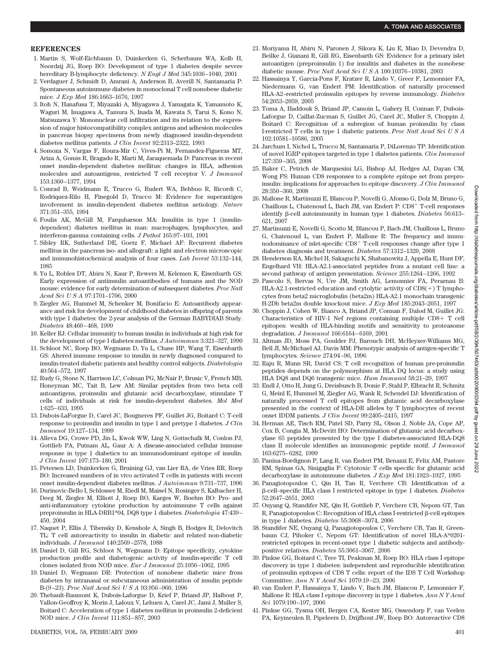#### **REFERENCES**

- 1. Martin S, Wolf-Eichbaum D, Duinkerken G, Scherbaum WA, Kolb H, Noordzij JG, Roep BO: Development of type 1 diabetes despite severe hereditary B-lymphocyte deficiency. *N Engl J Med* 345:1036–1040, 2001
- 2. Verdaguer J, Schmidt D, Amrani A, Anderson B, Averill N, Santamaria P: Spontaneous autoimmune diabetes in monoclonal T cell nonobese diabetic mice. *J Exp Med* 186:1663–1676, 1997
- 3. Itoh N, Hanafusa T, Miyazaki A, Miyagawa J, Yamagata K, Yamamoto K, Waguri M, Imagawa A, Tamura S, Inada M, Kawata S, Tarui S, Kono N, Matsuzawa Y: Mononuclear cell infiltration and its relation to the expression of major histocompatibility complex antigens and adhesion molecules in pancreas biopsy specimens from newly diagnosed insulin-dependent diabetes mellitus patients. *J Clin Invest* 92:2313–2322, 1993
- 4. Somoza N, Vargas F, Roura-Mir C, Vives-Pi M, Fernandez-Figueras MT, Ariza A, Gomis R, Bragado R, Marti M, Jaraquemada D: Pancreas in recent onset insulin-dependent diabetes mellitus: changes in HLA, adhesion molecules and autoantigens, restricted T cell receptor V. *J Immunol* 153:1360–1377, 1994
- 5. Conrad B, Weidmann E, Trucco G, Rudert WA, Behboo R, Ricordi C, Rodriquez-Rilo H, Finegold D, Trucco M: Evidence for superantigen involvement in insulin-dependent diabetes mellitus aetiology. *Nature* 371:351–355, 1994
- 6. Foulis AK, McGill M, Farquharson MA: Insulitis in type 1 (insulindependent) diabetes mellitus in man: macrophages, lymphocytes, and interferon-gamma containing cells. *J Pathol* 165:97–103, 1991
- 7. Sibley RK, Sutherland DE, Goetz F, Michael AF: Recurrent diabetes mellitus in the pancreas iso- and allograft: a light and electron microscopic and immunohistochemical analysis of four cases. *Lab Invest* 53:132–144, 1985
- 8. Yu L, Robles DT, Abiru N, Kaur P, Rewers M, Kelemen K, Eisenbarth GS: Early expression of antiinsulin autoantibodies of humans and the NOD mouse: evidence for early determination of subsequent diabetes. *Proc Natl Acad SciUSA* 97:1701–1706, 2000
- 9. Ziegler AG, Hummel M, Schenker M, Bonifacio E: Autoantibody appearance and risk for development of childhood diabetes in offspring of parents with type 1 diabetes: the 2-year analysis of the German BABYDIAB Study. *Diabetes* 48:460–468, 1999
- 10. Keller RJ: Cellular immunity to human insulin in individuals at high risk for the development of type I diabetes mellitus. *J Autoimmun* 3:321–327, 1990
- 11. Schloot NC, Roep BO, Wegmann D, Yu L, Chase HP, Wang T, Eisenbarth GS: Altered immune response to insulin in newly diagnosed compared to insulin-treated diabetic patients and healthy control subjects. *Diabetologia* 40:564–572, 1997
- 12. Rudy G, Stone N, Harrison LC, Colman PG, McNair P, Brusic V, French MB, Honeyman MC, Tait B, Lew AM: Similar peptides from two beta cell autoantigens, proinsulin and glutamic acid decarboxylase, stimulate T cells of individuals at risk for insulin-dependent diabetes. *Mol Med* 1:625–633, 1995
- 13. Dubois-LaForgue D, Carel JC, Bougneres PF, Guillet JG, Boitard C: T-cell response to proinsulin and insulin in type 1 and pretype 1 diabetes. *J Clin Immunol* 19:127–134, 1999
- 14. Alleva DG, Crowe PD, Jin L, Kwok WW, Ling N, Gottschalk M, Conlon PJ, Gottlieb PA, Putnam AL, Gaur A: A disease-associated cellular immune response in type 1 diabetics to an immunodominant epitope of insulin. *J Clin Invest* 107:173–180, 2001
- 15. Petersen LD, Duinkerken G, Bruining GJ, van Lier RA, de Vries RR, Roep BO: Increased numbers of in vivo activated T cells in patients with recent onset insulin-dependent diabetes mellitus. *J Autoimmun* 9:731–737, 1996
- 16. Durinovic-Bello I, Schlosser M, Riedl M, Maisel N, Rosinger S, Kalbacher H, Deeg M, Ziegler M, Elliott J, Roep BO, Karges W, Boehm BO: Pro- and anti-inflammatory cytokine production by autoimmune T cells against preproinsulin in HLA-DRB1\*04, DQ8 type 1 diabetes. *Diabetologia* 47:439– 450, 2004
- 17. Naquet P, Ellis J, Tibensky D, Kenshole A, Singh B, Hodges R, Delovitch TL: T cell autoreactivity to insulin in diabetic and related non-diabetic individuals. *J Immunol* 140:2569–2578, 1988
- 18. Daniel D, Gill RG, Schloot N, Wegmann D: Epitope specificity, cytokine production profile and diabetogenic activity of insulin-specific T cell clones isolated from NOD mice. *Eur J Immunol* 25:1056–1062, 1995
- 19. Daniel D, Wegmann DR: Protection of nonobese diabetic mice from diabetes by intranasal or subcutaneous administration of insulin peptide B-(9–23). *Proc Natl Acad SciUSA* 93:956–960, 1996
- 20. Thebault-Baumont K, Dubois-Laforgue D, Krief P, Briand JP, Halbout P, Vallon-Geoffroy K, Morin J, Laloux V, Lehuen A, Carel JC, Jami J, Muller S, Boitard C: Acceleration of type 1 diabetes mellitus in proinsulin 2-deficient NOD mice. *J Clin Invest* 111:851–857, 2003
- 21. Moriyama H, Abiru N, Paronen J, Sikora K, Liu E, Miao D, Devendra D, Beilke J, Gianani R, Gill RG, Eisenbarth GS: Evidence for a primary islet autoantigen (preproinsulin 1) for insulitis and diabetes in the nonobese diabetic mouse. *Proc Natl Acad SciUSA* 100:10376–10381, 2003
- 22. Hassainya Y, Garcia-Pons F, Kratzer R, Lindo V, Greer F, Lemonnier FA, Niedermann G, van Endert PM: Identification of naturally processed HLA-A2–restricted proinsulin epitopes by reverse immunology. *Diabetes* 54:2053–2059, 2005
- 23. Toma A, Haddouk S, Briand JP, Camoin L, Gahery H, Connan F, Dubois-Laforgue D, Caillat-Zucman S, Guillet JG, Carel JC, Muller S, Choppin J, Boitard C: Recognition of a subregion of human proinsulin by class I-restricted T cells in type 1 diabetic patients. *Proc Natl Acad SciUSA* 102:10581–10586, 2005
- 24. Jarchum I, Nichol L, Trucco M, Santamaria P, DiLorenzo TP: Identification of novel IGRP epitopes targeted in type 1 diabetes patients. *Clin Immunol* 127:359–365, 2008
- 25. Baker C, Petrich de Marquesini LG, Bishop AJ, Hedges AJ, Dayan CM, Wong FS: Human CD8 responses to a complete epitope set from preproinsulin: implications for approaches to epitope discovery. *J Clin Immunol* 28:350–360, 2008
- 26. Mallone R, Martinuzzi E, Blancou P, Novelli G, Afonso G, Dolz M, Bruno G, Chaillous L, Chatenoud L, Bach JM, van Endert P: CD8<sup>+</sup> T-cell responses identify β-cell autoimmunity in human type 1 diabetes. *Diabetes* 56:613– 621, 2007
- 27. Martinuzzi E, Novelli G, Scotto M, Blancou P, Bach JM, Chaillous L, Bruno G, Chatenoud L, van Endert P, Mallone R: The frequency and immunodominance of islet-specific  $CD8<sup>+</sup>$  T-cell responses change after type 1 diabetes diagnosis and treatment. *Diabetes* 57:1312–1320, 2008
- 28. Henderson RA, Michel H, Sakaguchi K, Shabanowitz J, Appella E, Hunt DF, Engelhard VH: HLA-A2.1-associated peptides from a mutant cell line: a second pathway of antigen presentation. *Science* 255:1264–1266, 1992
- 29. Pascolo S, Bervas N, Ure JM, Smith AG, Lemonnier FA, Perarnau B: HLA-A2.1-restricted education and cytolytic activity of  $CDS(+)$  T lymphocytes from beta2 microglobulin (beta2m) HLA-A2.1 monochain transgenic H-2Db beta2m double knockout mice. *J Exp Med* 185:2043–2051, 1997
- 30. Choppin J, Cohen W, Bianco A, Briand JP, Connan F, Dalod M, Guillet JG: Characteristics of HIV-1 Nef regions containing multiple  $CD8+T$  cell epitopes: wealth of HLA-binding motifs and sensitivity to proteasome degradation. *J Immunol* 166:6164–6169, 2001
- 31. Altman JD, Moss PA, Goulder PJ, Barouch DH, McHeyzer-Williams MG, Bell JI, McMichael AJ, Davis MM: Phenotypic analysis of antigen-specific T lymphocytes. *Science* 274:94–96, 1996
- 32. Raju R, Munn SR, David CS: T cell recognition of human pre-proinsulin peptides depends on the polymorphism at HLA DQ locus: a study using HLA DQ8 and DQ6 transgenic mice. *Hum Immunol* 58:21–29, 1997
- 33. Endl J, Otto H, Jung G, Dreisbusch B, Donie F, Stahl P, Elbracht R, Schmitz G, Meinl E, Hummel M, Ziegler AG, Wank R, Schendel DJ: Identification of naturally processed T cell epitopes from glutamic acid decarboxylase presented in the context of HLA-DR alleles by T lymphocytes of recent onset IDDM patients. *J Clin Invest* 99:2405–2415, 1997
- 34. Herman AE, Tisch RM, Patel SD, Parry SL, Olson J, Noble JA, Cope AP, Cox B, Congia M, McDevitt HO: Determination of glutamic acid decarboxylase 65 peptides presented by the type I diabetes-associated HLA-DQ8 class II molecule identifies an immunogenic peptide motif. *J Immunol* 163:6275–6282, 1999
- 35. Panina-Bordignon P, Lang R, van Endert PM, Benazzi E, Felix AM, Pastore RM, Spinas GA, Sinigaglia F: Cytotoxic T cells specific for glutamic acid decarboxylase in autoimmune diabetes. *J Exp Med* 181:1923–1927, 1995
- 36. Panagiotopoulos C, Qin H, Tan R, Verchere CB: Identification of a --cell–specific HLA class I restricted epitope in type 1 diabetes. *Diabetes* 52:2647–2651, 2003
- 37. Ouyang Q, Standifer NE, Qin H, Gottlieb P, Verchere CB, Nepom GT, Tan R, Panagiotopoulos C: Recognition of HLA class I-restricted β-cell epitopes in type 1 diabetes. *Diabetes* 55:3068–3074, 2006
- 38. Standifer NE, Ouyang Q, Panagiotopoulos C, Verchere CB, Tan R, Greenbaum CJ, Pihoker C, Nepom GT: Identification of novel HLA-A\*0201 restricted epitopes in recent-onset type 1 diabetic subjects and antibodypositive relatives. *Diabetes* 55:3061–3067, 2006
- 39. Pinkse GG, Boitard C, Tree TI, Peakman M, Roep BO: HLA class I epitope discovery in type 1 diabetes: independent and reproducible identification of proinsulin epitopes of CD8 T cells: report of the IDS T Cell Workshop Committee. *Ann N Y Acad Sci* 1079:19–23, 2006
- 40. van Endert P, Hassainya Y, Lindo V, Bach JM, Blancou P, Lemonnier F, Mallone R: HLA class I epitope discovery in type 1 diabetes. *Ann N Y Acad Sci* 1079:190–197, 2006
- 41. Pinkse GG, Tysma OH, Bergen CA, Kester MG, Ossendorp F, van Veelen PA, Keymeulen B, Pipeleers D, Drijfhout JW, Roep BO: Autoreactive CD8